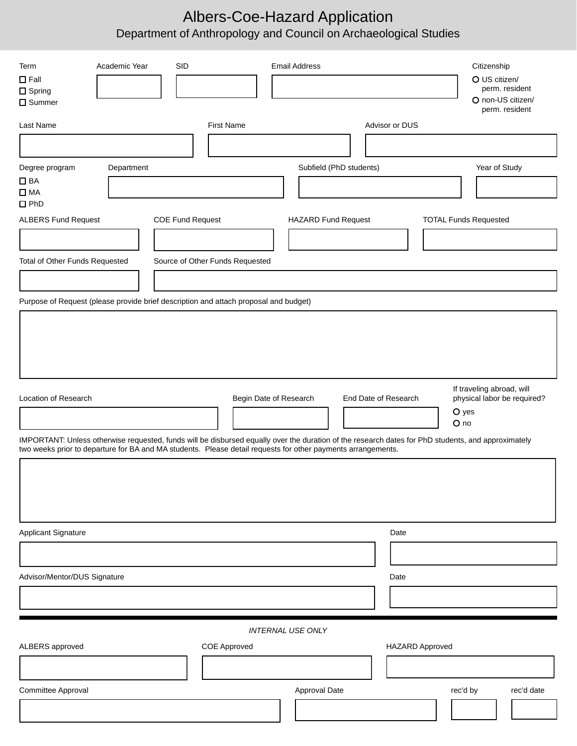# Albers-Coe-Hazard Application Department of Anthropology and Council on Archaeological Studies

| Academic Year<br><b>SID</b><br>Term<br>$\Box$ Fall<br>$\Box$ Spring<br>$\square$ Summer                                                                                                                                                                            | <b>Email Address</b>                           | Citizenship<br>O US citizen/<br>perm. resident<br>O non-US citizen/<br>perm. resident |
|--------------------------------------------------------------------------------------------------------------------------------------------------------------------------------------------------------------------------------------------------------------------|------------------------------------------------|---------------------------------------------------------------------------------------|
| <b>First Name</b><br>Last Name                                                                                                                                                                                                                                     | Advisor or DUS                                 |                                                                                       |
|                                                                                                                                                                                                                                                                    |                                                |                                                                                       |
| Degree program<br>Department                                                                                                                                                                                                                                       | Subfield (PhD students)                        | Year of Study                                                                         |
| $\Box$ BA<br>$\square$ MA<br>$\square$ PhD                                                                                                                                                                                                                         |                                                |                                                                                       |
| <b>ALBERS Fund Request</b><br><b>COE Fund Request</b>                                                                                                                                                                                                              | <b>HAZARD Fund Request</b>                     | <b>TOTAL Funds Requested</b>                                                          |
|                                                                                                                                                                                                                                                                    |                                                |                                                                                       |
| Total of Other Funds Requested<br>Source of Other Funds Requested                                                                                                                                                                                                  |                                                |                                                                                       |
|                                                                                                                                                                                                                                                                    |                                                |                                                                                       |
| Purpose of Request (please provide brief description and attach proposal and budget)                                                                                                                                                                               |                                                |                                                                                       |
|                                                                                                                                                                                                                                                                    |                                                |                                                                                       |
| Location of Research                                                                                                                                                                                                                                               | Begin Date of Research<br>End Date of Research | If traveling abroad, will<br>physical labor be required?<br>O yes<br>O no             |
| IMPORTANT: Unless otherwise requested, funds will be disbursed equally over the duration of the research dates for PhD students, and approximately<br>two weeks prior to departure for BA and MA students. Please detail requests for other payments arrangements. |                                                |                                                                                       |
|                                                                                                                                                                                                                                                                    |                                                |                                                                                       |
|                                                                                                                                                                                                                                                                    |                                                |                                                                                       |
|                                                                                                                                                                                                                                                                    | Date                                           |                                                                                       |
| Applicant Signature                                                                                                                                                                                                                                                |                                                |                                                                                       |
| Advisor/Mentor/DUS Signature                                                                                                                                                                                                                                       | Date                                           |                                                                                       |
|                                                                                                                                                                                                                                                                    |                                                |                                                                                       |
|                                                                                                                                                                                                                                                                    |                                                |                                                                                       |
|                                                                                                                                                                                                                                                                    | <b>INTERNAL USE ONLY</b>                       |                                                                                       |
| ALBERS approved<br>COE Approved                                                                                                                                                                                                                                    | <b>HAZARD Approved</b>                         |                                                                                       |
|                                                                                                                                                                                                                                                                    |                                                |                                                                                       |
| Committee Approval                                                                                                                                                                                                                                                 | Approval Date                                  | rec'd by<br>rec'd date                                                                |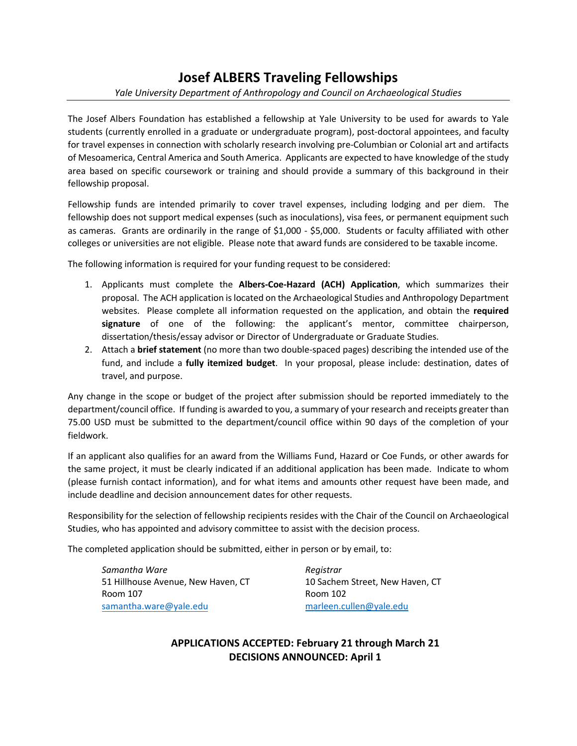# **Josef ALBERS Traveling Fellowships**

#### *Yale University Department of Anthropology and Council on Archaeological Studies*

The Josef Albers Foundation has established a fellowship at Yale University to be used for awards to Yale students (currently enrolled in a graduate or undergraduate program), post-doctoral appointees, and faculty for travel expenses in connection with scholarly research involving pre-Columbian or Colonial art and artifacts of Mesoamerica, Central America and South America. Applicants are expected to have knowledge of the study area based on specific coursework or training and should provide a summary of this background in their fellowship proposal.

Fellowship funds are intended primarily to cover travel expenses, including lodging and per diem. The fellowship does not support medical expenses (such as inoculations), visa fees, or permanent equipment such as cameras. Grants are ordinarily in the range of \$1,000 - \$5,000. Students or faculty affiliated with other colleges or universities are not eligible. Please note that award funds are considered to be taxable income.

The following information is required for your funding request to be considered:

- 1. Applicants must complete the **Albers-Coe-Hazard (ACH) Application**, which summarizes their proposal. The ACH application is located on the Archaeological Studies and Anthropology Department websites. Please complete all information requested on the application, and obtain the **required signature** of one of the following: the applicant's mentor, committee chairperson, dissertation/thesis/essay advisor or Director of Undergraduate or Graduate Studies.
- 2. Attach a **brief statement** (no more than two double-spaced pages) describing the intended use of the fund, and include a **fully itemized budget**. In your proposal, please include: destination, dates of travel, and purpose.

Any change in the scope or budget of the project after submission should be reported immediately to the department/council office. If funding is awarded to you, a summary of your research and receipts greater than 75.00 USD must be submitted to the department/council office within 90 days of the completion of your fieldwork.

If an applicant also qualifies for an award from the Williams Fund, Hazard or Coe Funds, or other awards for the same project, it must be clearly indicated if an additional application has been made. Indicate to whom (please furnish contact information), and for what items and amounts other request have been made, and include deadline and decision announcement dates for other requests.

Responsibility for the selection of fellowship recipients resides with the Chair of the Council on Archaeological Studies, who has appointed and advisory committee to assist with the decision process.

The completed application should be submitted, either in person or by email, to:

*Samantha Ware* 51 Hillhouse Avenue, New Haven, CT Room 107 [samantha.ware](mailto:cynthia.dreier@yale.edu)@yale.edu [marleen.cullen@yale.edu](mailto:marleen.cullen@yale.edu)

*Registrar* 10 Sachem Street, New Haven, CT Room 102

**APPLICATIONS ACCEPTED: February 21 through March 21 DECISIONS ANNOUNCED: April 1**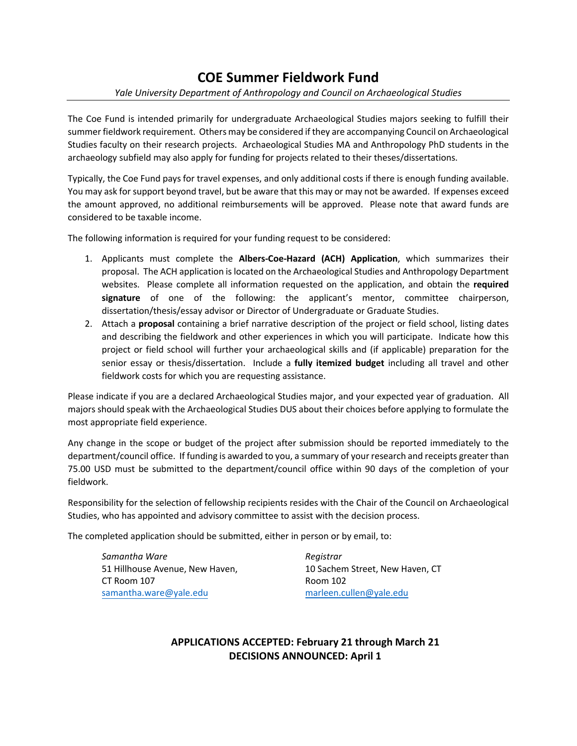# **COE Summer Fieldwork Fund**

#### *Yale University Department of Anthropology and Council on Archaeological Studies*

The Coe Fund is intended primarily for undergraduate Archaeological Studies majors seeking to fulfill their summer fieldwork requirement. Others may be considered if they are accompanying Council on Archaeological Studies faculty on their research projects. Archaeological Studies MA and Anthropology PhD students in the archaeology subfield may also apply for funding for projects related to their theses/dissertations.

Typically, the Coe Fund pays for travel expenses, and only additional costs if there is enough funding available. You may ask for support beyond travel, but be aware that this may or may not be awarded. If expenses exceed the amount approved, no additional reimbursements will be approved. Please note that award funds are considered to be taxable income.

The following information is required for your funding request to be considered:

- 1. Applicants must complete the **Albers-Coe-Hazard (ACH) Application**, which summarizes their proposal. The ACH application is located on the Archaeological Studies and Anthropology Department websites. Please complete all information requested on the application, and obtain the **required signature** of one of the following: the applicant's mentor, committee chairperson, dissertation/thesis/essay advisor or Director of Undergraduate or Graduate Studies.
- 2. Attach a **proposal** containing a brief narrative description of the project or field school, listing dates and describing the fieldwork and other experiences in which you will participate. Indicate how this project or field school will further your archaeological skills and (if applicable) preparation for the senior essay or thesis/dissertation. Include a **fully itemized budget** including all travel and other fieldwork costs for which you are requesting assistance.

Please indicate if you are a declared Archaeological Studies major, and your expected year of graduation. All majors should speak with the Archaeological Studies DUS about their choices before applying to formulate the most appropriate field experience.

Any change in the scope or budget of the project after submission should be reported immediately to the department/council office. If funding is awarded to you, a summary of your research and receipts greater than 75.00 USD must be submitted to the department/council office within 90 days of the completion of your fieldwork.

Responsibility for the selection of fellowship recipients resides with the Chair of the Council on Archaeological Studies, who has appointed and advisory committee to assist with the decision process.

The completed application should be submitted, either in person or by email, to:

*Samantha Ware* 51 Hillhouse Avenue, New Haven, CT Room 107 [samantha.ware](mailto:cynthia.dreier@yale.edu)@yale.edu [marleen.cullen@yale.edu](mailto:marleen.cullen@yale.edu)

*Registrar* 10 Sachem Street, New Haven, CT Room 102

### **APPLICATIONS ACCEPTED: February 21 through March 21 DECISIONS ANNOUNCED: April 1**